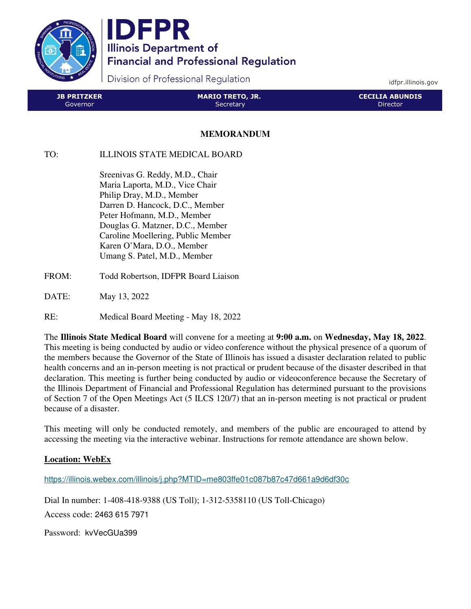

IDFPR **Illinois Department of Financial and Professional Regulation** 

Division of Professional Regulation

idfpr.illinois.gov

| <b>JB PRITZKER</b> | MARIO TRETO, JR. | <b>CECILIA ABUNDIS</b> |
|--------------------|------------------|------------------------|
| Governor           | Secretary        | Director.              |

## **MEMORANDUM**

## TO: ILLINOIS STATE MEDICAL BOARD

 Sreenivas G. Reddy, M.D., Chair Maria Laporta, M.D., Vice Chair Philip Dray, M.D., Member Darren D. Hancock, D.C., Member Peter Hofmann, M.D., Member Douglas G. Matzner, D.C., Member Caroline Moellering, Public Member Karen O'Mara, D.O., Member Umang S. Patel, M.D., Member

- FROM: Todd Robertson, IDFPR Board Liaison
- DATE: May 13, 2022
- RE: Medical Board Meeting May 18, 2022

The **Illinois State Medical Board** will convene for a meeting at **9:00 a.m.** on **Wednesday, May 18, 2022**. This meeting is being conducted by audio or video conference without the physical presence of a quorum of the members because the Governor of the State of Illinois has issued a disaster declaration related to public health concerns and an in-person meeting is not practical or prudent because of the disaster described in that declaration. This meeting is further being conducted by audio or videoconference because the Secretary of the Illinois Department of Financial and Professional Regulation has determined pursuant to the provisions of Section 7 of the Open Meetings Act (5 ILCS 120/7) that an in-person meeting is not practical or prudent because of a disaster.

This meeting will only be conducted remotely, and members of the public are encouraged to attend by accessing the meeting via the interactive webinar. Instructions for remote attendance are shown below.

## **Location: WebEx**

https://illinois.webex.com/illinois/j.php?MTID=me803ffe01c087b87c47d661a9d6df30c

Dial In number: 1-408-418-9388 (US Toll); 1-312-5358110 (US Toll-Chicago) Access code: 2463 615 7971

Password: kvVecGUa399